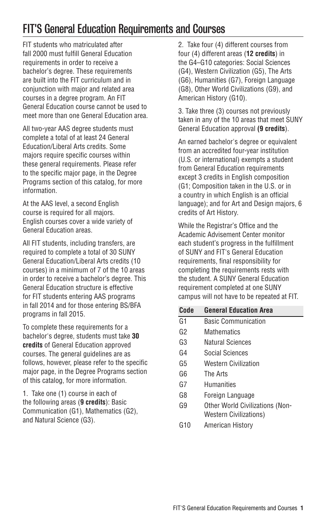# FIT'S General Education Requirements and Courses

FIT students who matriculated after fall 2000 must fulfill General Education requirements in order to receive a bachelor's degree. These requirements are built into the FIT curriculum and in conjunction with major and related area courses in a degree program. An FIT General Education course cannot be used to meet more than one General Education area.

All two-year AAS degree students must complete a total of at least 24 General Education/Liberal Arts credits. Some majors require specific courses within these general requirements. Please refer to the specific major page, in the [Degree](http://catalog.fitnyc.edu/undergraduate/majors/) [Programs](http://catalog.fitnyc.edu/undergraduate/majors/) section of this catalog, for more information.

At the AAS level, a second English course is required for all majors. English courses cover a wide variety of General Education areas.

All FIT students, including transfers, are required to complete a total of 30 SUNY General Education/Liberal Arts credits (10 courses) in a minimum of 7 of the 10 areas in order to receive a bachelor's degree. This General Education structure is effective for FIT students entering AAS programs in fall 2014 and for those entering BS/BFA programs in fall 2015.

To complete these requirements for a bachelor's degree, students must take **30 credits** of General Education approved courses. The general guidelines are as follows, however, please refer to the specific major page, in the [Degree Programs](http://catalog.fitnyc.edu/undergraduate/majors/) section of this catalog, for more information.

1. Take one (1) course in each of the following areas (**9 credits**): Basic Communication (G1), Mathematics (G2), and Natural Science (G3).

2. Take four (4) different courses from four (4) different areas (**12 credits**) in the G4–G10 categories: Social Sciences (G4), Western Civilization (G5), The Arts (G6), Humanities (G7), Foreign Language (G8), Other World Civilizations (G9), and American History (G10).

3. Take three (3) courses not previously taken in any of the 10 areas that meet SUNY General Education approval **(9 credits**).

An earned bachelor's degree or equivalent from an accredited four-year institution (U.S. or international) exempts a student from General Education requirements except 3 credits in English composition (G1; Composition taken in the U.S. or in a country in which English is an official language); and for Art and Design majors, 6 credits of Art History.

While the Registrar's Office and the Academic Advisement Center monitor each student's progress in the fulfillment of SUNY and FIT's General Education requirements, final responsibility for completing the requirements rests with the student. A SUNY General Education requirement completed at one SUNY campus will not have to be repeated at FIT.

| Code | <b>General Education Area</b>          |
|------|----------------------------------------|
| G1   | <b>Basic Communication</b>             |
| G2   | Mathematics                            |
| G3   | Natural Sciences                       |
| G4   | Social Sciences                        |
| G5   | <b>Western Civilization</b>            |
| G6   | The Arts                               |
| G7   | Humanities                             |
| G8   | Foreign Language                       |
| G9   | <b>Other World Civilizations (Non-</b> |
|      | <b>Western Civilizations)</b>          |
| G10  | American History                       |
|      |                                        |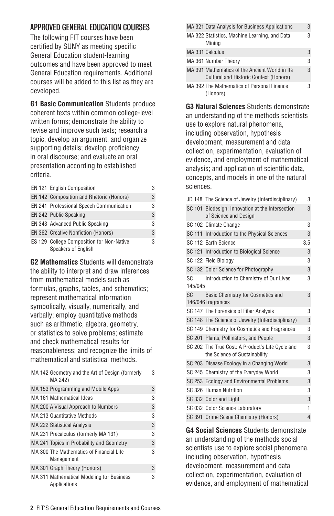# APPROVED GENERAL EDUCATION COURSES

The following FIT courses have been certified by SUNY as meeting specific General Education student-learning outcomes and have been approved to meet General Education requirements. Additional courses will be added to this list as they are developed.

**G1 Basic Communication** Students produce coherent texts within common college-level written forms; demonstrate the ability to revise and improve such texts; research a topic, develop an argument, and organize supporting details; develop proficiency in oral discourse; and evaluate an oral presentation according to established criteria.

| EN 121 English Composition                                       | 3 |
|------------------------------------------------------------------|---|
| EN 142 Composition and Rhetoric (Honors)                         | 3 |
| EN 241 Professional Speech Communication                         | 3 |
| EN 242 Public Speaking                                           | 3 |
| EN 343 Advanced Public Speaking                                  | 3 |
| EN 362 Creative Nonfiction (Honors)                              | 3 |
| ES 129 College Composition for Non-Native<br>Speakers of English | 3 |

**G2 Mathematics** Students will demonstrate the ability to interpret and draw inferences from mathematical models such as formulas, graphs, tables, and schematics; represent mathematical information symbolically, visually, numerically, and verbally; employ quantitative methods such as arithmetic, algebra, geometry, or statistics to solve problems; estimate and check mathematical results for reasonableness; and recognize the limits of mathematical and statistical methods.

| MA 142 Geometry and the Art of Design (formerly<br>MA 242) | 3 |
|------------------------------------------------------------|---|
| MA 153 Programming and Mobile Apps                         | 3 |
| MA 161 Mathematical Ideas                                  | 3 |
| MA 200 A Visual Approach to Numbers                        | 3 |
| <b>MA 213 Quantitative Methods</b>                         | 3 |
| <b>MA 222 Statistical Analysis</b>                         | 3 |
| MA 231 Precalculus (formerly MA 131)                       | 3 |
| MA 241 Topics in Probability and Geometry                  | 3 |
| MA 300 The Mathematics of Financial Life<br>Management     | 3 |
| MA 301 Graph Theory (Honors)                               | 3 |
| MA 311 Mathematical Modeling for Business<br>Applications  | 3 |

|  |  | MA 321 Data Analysis for Business Applications                                           | 3 |
|--|--|------------------------------------------------------------------------------------------|---|
|  |  | MA 322 Statistics, Machine Learning, and Data<br>Mining                                  | 3 |
|  |  | MA 331 Calculus                                                                          | 3 |
|  |  | MA 361 Number Theory                                                                     | 3 |
|  |  | MA 391 Mathematics of the Ancient World in Its<br>Cultural and Historic Context (Honors) | 3 |
|  |  | MA 392 The Mathematics of Personal Finance<br>(Honors)                                   | 3 |

**G3 Natural Sciences** Students demonstrate an understanding of the methods scientists use to explore natural phenomena, including observation, hypothesis development, measurement and data collection, experimentation, evaluation of evidence, and employment of mathematical analysis; and application of scientific data, concepts, and models in one of the natural sciences.

|                | JD 148 The Science of Jewelry (Interdisciplinary)                                 | 3   |
|----------------|-----------------------------------------------------------------------------------|-----|
|                | SC 101 Biodesign: Innovation at the Intersection<br>of Science and Design         | 3   |
|                | SC 102 Climate Change                                                             | 3   |
|                | SC 111 Introduction to the Physical Sciences                                      | 3   |
|                | SC 112 Earth Science                                                              | 3.5 |
|                | SC 121 Introduction to Biological Science                                         | 3   |
|                | SC 122 Field Biology                                                              | 3   |
|                | SC 132 Color Science for Photography                                              | 3   |
| SC.<br>145/045 | Introduction to Chemistry of Our Lives                                            | 3   |
| <b>SC</b>      | Basic Chemistry for Cosmetics and<br>146/046 Fragrances                           | 3   |
|                | SC 147 The Forensics of Fiber Analysis                                            | 3   |
|                | SC 148 The Science of Jewelry (Interdisciplinary)                                 | 3   |
|                | SC 149 Chemistry for Cosmetics and Fragrances                                     | 3   |
|                | SC 201 Plants, Pollinators, and People                                            | 3   |
|                | SC 202 The True Cost: A Product's Life Cycle and<br>the Science of Sustainability | 3   |
|                | SC 203 Disease Ecology in a Changing World                                        | 3   |
|                | SC 245 Chemistry of the Everyday World                                            | 3   |
|                | SC 253 Ecology and Environmental Problems                                         | 3   |
|                | SC 326 Human Nutrition                                                            | 3   |
|                | SC 332 Color and Light                                                            | 3   |
|                | SC 032 Color Science Laboratory                                                   | 1   |
|                | SC 391 Crime Scene Chemistry (Honors)                                             | 4   |
|                |                                                                                   |     |

**G4 Social Sciences** Students demonstrate an understanding of the methods social scientists use to explore social phenomena, including observation, hypothesis development, measurement and data collection, experimentation, evaluation of evidence, and employment of mathematical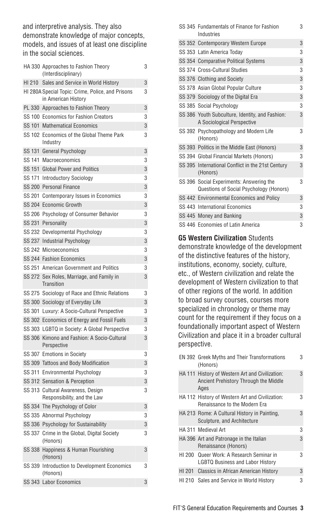and interpretive analysis. They also demonstrate knowledge of major concepts, models, and issues of at least one discipline in the social sciences.

|               | HA 330 Approaches to Fashion Theory<br>(Interdisciplinary)               | 3 |
|---------------|--------------------------------------------------------------------------|---|
| HI 210        | Sales and Service in World History                                       | 3 |
|               | HI 280A Special Topic: Crime, Police, and Prisons<br>in American History | 3 |
| PL 330        | Approaches to Fashion Theory                                             | 3 |
|               | SS 100 Economics for Fashion Creators                                    | 3 |
| SS 101        | <b>Mathematical Economics</b>                                            | 3 |
| SS 102        | Economics of the Global Theme Park<br>Industry                           | 3 |
| SS 131        | General Psychology                                                       | 3 |
| SS 141        | Macroeconomics                                                           | 3 |
| <b>SS 151</b> | <b>Global Power and Politics</b>                                         | 3 |
| SS 171        | <b>Introductory Sociology</b>                                            | 3 |
| <b>SS 200</b> | <b>Personal Finance</b>                                                  | 3 |
| SS 201        | Contemporary Issues in Economics                                         | 3 |
| <b>SS 204</b> | <b>Economic Growth</b>                                                   | 3 |
| SS 206        | Psychology of Consumer Behavior                                          | 3 |
|               | SS 231 Personality                                                       | 3 |
| SS 232        | Developmental Psychology                                                 | 3 |
| <b>SS 237</b> | Industrial Psychology                                                    | 3 |
| SS 242        | Microeconomics                                                           | 3 |
|               | SS 244 Fashion Economics                                                 | 3 |
|               | SS 251 American Government and Politics                                  | 3 |
| SS 272        | Sex Roles, Marriage, and Family in<br>Transition                         | 3 |
|               | SS 275 Sociology of Race and Ethnic Relations                            | 3 |
|               | SS 300 Sociology of Everyday Life                                        | 3 |
| SS 301        | Luxury: A Socio-Cultural Perspective                                     | 3 |
|               | SS 302 Economics of Energy and Fossil Fuels                              | 3 |
|               | SS 303 LGBTQ in Society: A Global Perspective                            | 3 |
| <b>SS 306</b> | Kimono and Fashion: A Socio-Cultural<br>Perspective                      | 3 |
|               | SS 307 Emotions in Society                                               | 3 |
|               | SS 309 Tattoos and Body Modification                                     | 3 |
| SS 311        | Environmental Psychology                                                 | 3 |
|               | SS 312 Sensation & Perception                                            | 3 |
| SS 313        | Cultural Awareness, Design<br>Responsibility, and the Law                | 3 |
|               | SS 334 The Psychology of Color                                           | 3 |
|               | SS 335 Abnormal Psychology                                               | 3 |
|               | SS 336 Psychology for Sustainability                                     | 3 |
| SS 337        | Crime in the Global, Digital Society<br>(Honors)                         | 3 |
|               | SS 338 Happiness & Human Flourishing<br>(Honors)                         | 3 |
| SS 339        | Introduction to Development Economics<br>(Honors)                        | 3 |
|               | SS 343 Labor Economics                                                   | 3 |
|               |                                                                          |   |

|  | SS 345 Fundamentals of Finance for Fashion<br>Industries                            | 3 |
|--|-------------------------------------------------------------------------------------|---|
|  | SS 352 Contemporary Western Europe                                                  | 3 |
|  | SS 353 Latin America Todav                                                          | 3 |
|  | SS 354 Comparative Political Systems                                                | 3 |
|  | SS 374 Cross-Cultural Studies                                                       | 3 |
|  | SS 376 Clothing and Society                                                         | 3 |
|  | SS 378 Asian Global Popular Culture                                                 | 3 |
|  | SS 379 Sociology of the Digital Era                                                 | 3 |
|  | SS 385 Social Psychology                                                            | 3 |
|  | SS 386 Youth Subculture, Identity, and Fashion:<br>A Sociological Perspective       | 3 |
|  | SS 392 Psychopathology and Modern Life<br>(Honors)                                  | 3 |
|  | SS 393 Politics in the Middle East (Honors)                                         | 3 |
|  | SS 394 Global Financial Markets (Honors)                                            | 3 |
|  | SS 395 International Conflict in the 21st Century<br>(Honors)                       | 3 |
|  | SS 396 Social Experiments: Answering the<br>Questions of Social Psychology (Honors) | 3 |
|  | SS 442 Environmental Economics and Policy                                           | 3 |
|  | SS 443 International Economics                                                      | 3 |
|  | SS 445 Money and Banking                                                            | 3 |
|  | SS 446 Economies of Latin America                                                   | 3 |

#### **G5 Western Civilization** Students

demonstrate knowledge of the development of the distinctive features of the history, institutions, economy, society, culture, etc., of Western civilization and relate the development of Western civilization to that of other regions of the world. In addition to broad survey courses, courses more specialized in chronology or theme may count for the requirement if they focus on a foundationally important aspect of Western Civilization and place it in a broader cultural perspective.

|  |        | EN 392 Greek Myths and Their Transformations<br>(Honors)                                         | 3 |
|--|--------|--------------------------------------------------------------------------------------------------|---|
|  |        | HA 111 History of Western Art and Civilization:<br>Ancient Prehistory Through the Middle<br>Aaes | 3 |
|  |        | HA 112 History of Western Art and Civilization:<br><b>Renaissance to the Modern Era</b>          | 3 |
|  |        | HA 213 Rome: A Cultural History in Painting,<br>Sculpture, and Architecture                      | 3 |
|  |        | HA 311 Medieval Art                                                                              | 3 |
|  |        | HA 396 Art and Patronage in the Italian<br>Renaissance (Honors)                                  | 3 |
|  |        | HI 200 Queer Work: A Research Seminar in<br><b>LGBTQ Business and Labor History</b>              | 3 |
|  | HI 201 | <b>Classics in African American History</b>                                                      | 3 |
|  | HI 210 | Sales and Service in World History                                                               | 3 |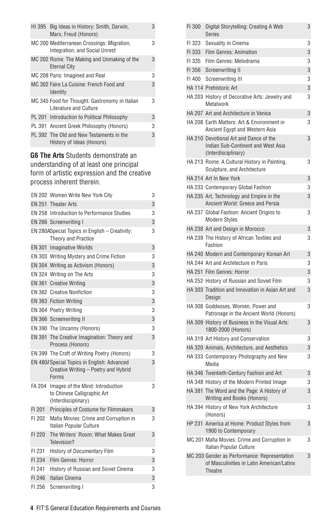|  | HI 395 | Big Ideas in History: Smith, Darwin,<br>Marx, Freud (Honors)                 | 3 |
|--|--------|------------------------------------------------------------------------------|---|
|  |        | MC 200 Mediterranean Crossings: Migration,<br>Integration, and Social Unrest | 3 |
|  |        | MC 202 Rome: The Making and Unmaking of the<br><b>Eternal City</b>           | 3 |
|  |        | MC 208 Paris: Imagined and Real                                              | 3 |
|  |        | MC 302 Faire La Cuisine: French Food and<br>Identity                         | 3 |
|  |        | MC 345 Food for Thought: Gastronomy in Italian<br>Literature and Culture     | 3 |
|  |        | PL 201 Introduction to Political Philosophy                                  | 3 |
|  |        | PL 391 Ancient Greek Philosophy (Honors)                                     | 3 |
|  |        | PL 392 The Old and New Testaments in the<br>History of Ideas (Honors)        | 3 |
|  |        |                                                                              |   |

## **G6 The Arts** Students demonstrate an understanding of at least one principal form of artistic expression and the creative process inherent therein.

|        | EN 202 Women Write New York City                                                             | 3 |
|--------|----------------------------------------------------------------------------------------------|---|
|        | EN 251 Theater Arts                                                                          | 3 |
|        | EN 258 Introduction to Performance Studies                                                   | 3 |
|        | EN 266 Screenwriting I                                                                       | 3 |
|        | EN 280ASpecial Topics in English - Creativity:<br>Theory and Practice                        | 3 |
|        | EN 301 Imaginative Worlds                                                                    | 3 |
|        | EN 303 Writing Mystery and Crime Fiction                                                     | 3 |
|        | EN 304 Writing as Activism (Honors)                                                          | 3 |
|        | EN 324 Writing on The Arts                                                                   | 3 |
|        | EN 361 Creative Writing                                                                      | 3 |
|        | <b>EN 362 Creative Nonfiction</b>                                                            | 3 |
|        | EN 363 Fiction Writing                                                                       | 3 |
|        | EN 364 Poetry Writing                                                                        | 3 |
|        | EN 366 Screenwriting II                                                                      | 3 |
|        | EN 390 The Uncanny (Honors)                                                                  | 3 |
|        | EN 391 The Creative Imagination: Theory and<br>Process (Honors)                              | 3 |
|        | EN 399 The Craft of Writing Poetry (Honors)                                                  | 3 |
|        | EN 480/ Special Topics in English: Advanced<br>Creative Writing - Poetry and Hybrid<br>Forms | 3 |
| FA 204 | Images of the Mind: Introduction<br>to Chinese Calligraphic Art<br>(Interdisciplinary)       | 3 |
| FI 201 | Principles of Costume for Filmmakers                                                         | 3 |
| FI 202 | Mafia Movies: Crime and Corruption in<br>Italian Popular Culture                             | 3 |
| FI 220 | The Writers' Room: What Makes Great<br>Television?                                           | 3 |
| FI 231 | History of Documentary Film                                                                  | 3 |
| FI 234 | Film Genres: Horror                                                                          | 3 |
| FI 241 | History of Russian and Soviet Cinema                                                         | 3 |
| FI 246 | Italian Cinema                                                                               | 3 |
| FI 256 | Screenwriting I                                                                              | 3 |

| FI 300 | Digital Storytelling: Creating A Web<br><b>Series</b>                                                | 3 |
|--------|------------------------------------------------------------------------------------------------------|---|
|        | FI 323 Sexuality in Cinema                                                                           | 3 |
| FI 333 | Film Genres: Animation                                                                               | 3 |
| FI 335 | Film Genres: Melodrama                                                                               | 3 |
| FI 356 | Screenwriting II                                                                                     | 3 |
|        | FI 400 Screenwriting III                                                                             | 3 |
|        | HA 114 Prehistoric Art                                                                               | 3 |
|        | HA 203 History of Decorative Arts: Jewelry and<br>Metalwork                                          | 3 |
|        | HA 207 Art and Architecture in Venice                                                                | 3 |
|        | HA 208 Earth Matters: Art & Environment in<br>Ancient Egypt and Western Asia                         | 3 |
|        | HA 210 Devotional Art and Dance of the<br>Indian Sub-Continent and West Asia<br>(Interdisciplinary)  | 3 |
|        | HA 213 Rome: A Cultural History in Painting,<br>Sculpture, and Architecture                          | 3 |
|        | HA 214 Art In New York                                                                               | 3 |
|        | HA 233 Contemporary Global Fashion                                                                   | 3 |
|        | HA 235 Art, Technology and Empire in the<br>Ancient World: Greece and Persia                         | 3 |
|        | HA 237 Global Fashion: Ancient Origins to<br><b>Modern Styles</b>                                    | 3 |
|        | HA 238 Art and Design in Morocco                                                                     | 3 |
|        | HA 239 The History of African Textiles and<br>Fashion                                                | 3 |
|        | HA 240 Modern and Contemporary Korean Art                                                            | 3 |
|        | HA 244 Art and Architecture in Paris                                                                 | 3 |
|        | HA 251 Film Genres: Horror                                                                           | 3 |
|        | HA 252 History of Russian and Soviet Film                                                            | 3 |
|        | HA 303 Tradition and Innovation in Asian Art and<br>Design                                           | 3 |
|        | HA 308 Goddesses, Women, Power and<br>Patronage in the Ancient World (Honors)                        | 3 |
|        | HA 309 History of Business in the Visual Arts:<br>1800-2000 (Honors)                                 | 3 |
|        | HA 319 Art History and Conservation                                                                  | 3 |
|        | HA 320 Animals, Architecture, and Aesthetics                                                         | 3 |
|        | HA 333 Contemporary Photography and New<br>Media                                                     | 3 |
|        | HA 346 Twentieth-Century Fashion and Art                                                             | 3 |
|        | HA 348 History of the Modern Printed Image                                                           | 3 |
|        | HA 381 The Word and the Page: A History of<br>Writing and Books (Honors)                             | 3 |
|        | HA 394 History of New York Architecture<br>(Honors)                                                  | 3 |
|        | HP 231 America at Home: Product Styles from<br>1900 to Contemporary                                  | 3 |
|        | MC 201 Mafia Movies: Crime and Corruption in<br>Italian Popular Culture                              | 3 |
|        | MC 203 Gender as Performance: Representation<br>of Masculinities in Latin American/Latinx<br>Theatre | 3 |
|        |                                                                                                      |   |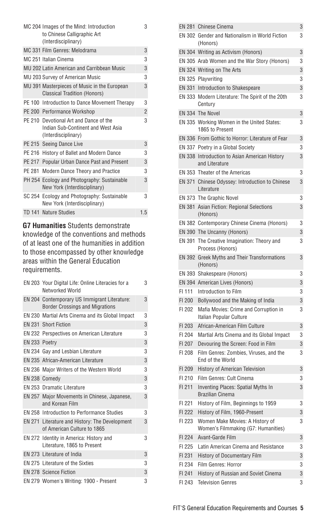|        | MC 204 Images of the Mind: Introduction<br>to Chinese Calligraphic Art<br>(Interdisciplinary)       | 3              |
|--------|-----------------------------------------------------------------------------------------------------|----------------|
|        | MC 331 Film Genres: Melodrama                                                                       | 3              |
|        | MC 251 Italian Cinema                                                                               | 3              |
|        | MU 202 Latin American and Carribbean Music                                                          | 3              |
|        | MU 203 Survey of American Music                                                                     | 3              |
|        | MU 391 Masterpieces of Music in the European<br><b>Classical Tradition (Honors)</b>                 | 3              |
|        | PE 100 Introduction to Dance Movement Therapy                                                       | 3              |
|        | PE 200 Performance Workshop                                                                         | $\overline{2}$ |
|        | PE 210 Devotional Art and Dance of the<br>Indian Sub-Continent and West Asia<br>(Interdisciplinary) | 3              |
|        | PE 215 Seeing Dance Live                                                                            | 3              |
| PE 216 | History of Ballet and Modern Dance                                                                  | 3              |
|        | PE 217 Popular Urban Dance Past and Present                                                         | 3              |
| PE 281 | Modern Dance Theory and Practice                                                                    | 3              |
|        | PH 254 Ecology and Photography: Sustainable<br>New York (Interdisciplinary)                         | 3              |
|        | SC 254 Ecology and Photography: Sustainable<br>New York (Interdisciplinary)                         | 3              |
|        | TD 141 Nature Studies                                                                               | 1.5            |
|        |                                                                                                     |                |

**G7 Humanities** Students demonstrate knowledge of the conventions and methods of at least one of the humanities in addition to those encompassed by other knowledge areas within the General Education requirements.

|               | EN 203 Your Digital Life: Online Literacies for a<br>Networked World                   | 3 |
|---------------|----------------------------------------------------------------------------------------|---|
|               | EN 204 Contemporary US Immigrant Literature:<br><b>Border Crossings and Migrations</b> | 3 |
|               | EN 230 Martial Arts Cinema and its Global Impact                                       | 3 |
|               | EN 231 Short Fiction                                                                   | 3 |
|               | EN 232 Perspectives on American Literature                                             | 3 |
| EN 233 Poetry |                                                                                        | 3 |
|               | EN 234 Gay and Lesbian Literature                                                      | 3 |
|               | EN 235 African-American Literature                                                     | 3 |
|               | EN 236 Major Writers of the Western World                                              | 3 |
|               | EN 238 Comedy                                                                          | 3 |
|               | FN 253 Dramatic Literature                                                             | 3 |
|               | EN 257 Major Movements in Chinese, Japanese,<br>and Korean Film                        | 3 |
|               | <b>EN 258 Introduction to Performance Studies</b>                                      | 3 |
|               | EN 271 Literature and History: The Development<br>of American Culture to 1865          | 3 |
|               | EN 272 Identity in America: History and<br>Literature, 1865 to Present                 | 3 |
|               | EN 273 Literature of India                                                             | 3 |
|               | EN 275 Literature of the Sixties                                                       | 3 |
|               | <b>EN 278 Science Fiction</b>                                                          | 3 |
|               | EN 279 Women's Writing: 1900 - Present                                                 | 3 |
|               |                                                                                        |   |

|        | EN 281 Chinese Cinema                                                  | 3 |
|--------|------------------------------------------------------------------------|---|
|        | EN 302 Gender and Nationalism in World Fiction<br>(Honors)             | 3 |
|        | EN 304 Writing as Activism (Honors)                                    | 3 |
|        | EN 305 Arab Women and the War Story (Honors)                           | 3 |
|        | EN 324 Writing on The Arts                                             | 3 |
|        | EN 325 Playwriting                                                     | 3 |
|        | EN 331 Introduction to Shakespeare                                     | 3 |
|        | EN 333 Modern Literature: The Spirit of the 20th<br>Century            | 3 |
|        | EN 334 The Novel                                                       | 3 |
|        | EN 335 Working Women in the United States:<br>1865 to Present          | 3 |
|        | EN 336 From Gothic to Horror: Literature of Fear                       | 3 |
|        | EN 337 Poetry in a Global Society                                      | 3 |
|        | EN 338 Introduction to Asian American History<br>and Literature        | 3 |
|        | EN 353 Theater of the Americas                                         | 3 |
|        | EN 371 Chinese Odyssey: Introduction to Chinese<br>Literature          | 3 |
|        | EN 373 The Graphic Novel                                               | 3 |
|        | EN 381 Asian Fiction: Regional Selections<br>(Honors)                  | 3 |
|        | EN 382 Contemporary Chinese Cinema (Honors)                            | 3 |
|        | EN 390 The Uncanny (Honors)                                            | 3 |
|        | EN 391 The Creative Imagination: Theory and<br>Process (Honors)        | 3 |
|        | EN 392 Greek Myths and Their Transformations<br>(Honors)               | 3 |
|        | EN 393 Shakespeare (Honors)                                            | 3 |
|        | EN 394 American Lives (Honors)                                         | 3 |
| FI 111 | Introduction to Film                                                   | 3 |
| FI 200 | Bollywood and the Making of India                                      | 3 |
| FI 202 | Mafia Movies: Crime and Corruption in<br>Italian Popular Culture       | 3 |
| FI 203 | African-American Film Culture                                          | 3 |
| FI 204 | Martial Arts Cinema and its Global Impact                              | 3 |
| FI 207 | Devouring the Screen: Food in Film                                     | 3 |
| FI 208 | Film Genres: Zombies, Viruses, and the<br>End of the World             | 3 |
| FI 209 | History of American Television                                         | 3 |
| FI 210 | Film Genres: Cult Cinema                                               | 3 |
| FI 211 | Inventing Places: Spatial Myths In<br>Brazilian Cinema                 | 3 |
| FI 221 | History of Film, Beginnings to 1959                                    | 3 |
| FI 222 | History of Film, 1960-Present                                          | 3 |
| FI 223 | Women Make Movies: A History of<br>Women's Filmmaking (G7: Humanities) | 3 |
| FI 224 | Avant-Garde Film                                                       | 3 |
| FI 225 | Latin American Cinema and Resistance                                   | 3 |
| FI 231 | History of Documentary Film                                            | 3 |
| FI 234 | Film Genres: Horror                                                    | 3 |
| FI 241 | History of Russian and Soviet Cinema                                   | 3 |
| FI 243 | <b>Television Genres</b>                                               | 3 |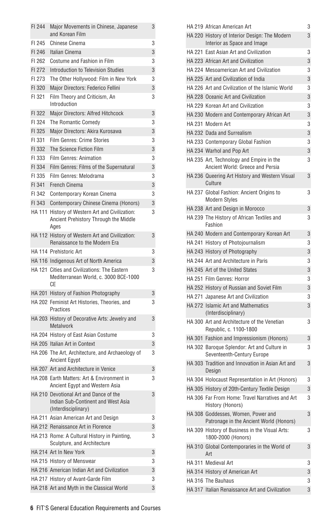| FI 244        | Major Movements in Chinese, Japanese<br>and Korean Film                                             | 3 |
|---------------|-----------------------------------------------------------------------------------------------------|---|
| FI 245        | <b>Chinese Cinema</b>                                                                               | 3 |
| FI 246        | Italian Cinema                                                                                      | 3 |
| FI 262        | Costume and Fashion in Film                                                                         | 3 |
| FI 272        | Introduction to Television Studies                                                                  | 3 |
| FI 273        | The Other Hollywood: Film in New York                                                               | 3 |
| FI 320        | Major Directors: Federico Fellini                                                                   | 3 |
| FI 321        | Film Theory and Criticism, An<br>Introduction                                                       | 3 |
| FI 322        | Major Directors: Alfred Hitchcock                                                                   | 3 |
| FI 324        | The Romantic Comedy                                                                                 | 3 |
| FI 325        | Major Directors: Akira Kurosawa                                                                     | 3 |
| FI 331        | Film Genres: Crime Stories                                                                          | 3 |
| FI 332        | The Science Fiction Film                                                                            | 3 |
| FI 333        | Film Genres: Animation                                                                              | 3 |
| FI 334        | Film Genres: Films of the Supernatural                                                              | 3 |
| FI 335        | Film Genres: Melodrama                                                                              | 3 |
| FI 341        | French Cinema                                                                                       | 3 |
| FI 342        | Contemporary Korean Cinema                                                                          | 3 |
| FI 343        | Contemporary Chinese Cinema (Honors)                                                                | 3 |
| <b>HA 111</b> | History of Western Art and Civilization:<br>Ancient Prehistory Through the Middle                   | 3 |
|               | Ages                                                                                                |   |
|               | HA 112 History of Western Art and Civilization:<br>Renaissance to the Modern Era                    | 3 |
|               | HA 114 Prehistoric Art                                                                              | 3 |
|               | HA 116 Indigenous Art of North America                                                              | 3 |
|               | HA 121 Cities and Civilizations: The Eastern<br>Mediterranean World, c. 3000 BCE-1000<br>CЕ         | 3 |
|               | HA 201 History of Fashion Photography                                                               | 3 |
|               | HA 202 Feminist Art Histories, Theories, and<br>Practices                                           | 3 |
|               | HA 203 History of Decorative Arts: Jewelry and<br>Metalwork                                         | 3 |
|               | HA 204 History of East Asian Costume                                                                | 3 |
|               | HA 205 Italian Art in Context                                                                       | 3 |
|               | HA 206 The Art, Architecture, and Archaeology of<br><b>Ancient Egypt</b>                            | 3 |
|               | HA 207 Art and Architecture in Venice                                                               | 3 |
|               | HA 208 Earth Matters: Art & Environment in<br>Ancient Egypt and Western Asia                        | 3 |
|               | HA 210 Devotional Art and Dance of the<br>Indian Sub-Continent and West Asia<br>(Interdisciplinary) | 3 |
|               | HA 211 Asian American Art and Design                                                                | 3 |
|               | HA 212 Renaissance Art in Florence                                                                  | 3 |
|               | HA 213 Rome: A Cultural History in Painting,<br>Sculpture, and Architecture                         | 3 |
|               | HA 214 Art In New York                                                                              | 3 |
|               | HA 215 History of Menswear                                                                          | 3 |
|               | HA 216 American Indian Art and Civilization                                                         | 3 |
|               | HA 217 History of Avant-Garde Film                                                                  | 3 |
|               | HA 218 Art and Myth in the Classical World                                                          | 3 |

| HA 220 History of Interior Design: The Modern<br>Interior as Space and Image  | 3 |
|-------------------------------------------------------------------------------|---|
| HA 221 East Asian Art and Civilization                                        | 3 |
| HA 223 African Art and Civilization                                           | 3 |
| HA 224 Mesoamerican Art and Civilization                                      | 3 |
| HA 225 Art and Civilization of India                                          | 3 |
| HA 226 Art and Civilization of the Islamic World                              | 3 |
| HA 228 Oceanic Art and Civilization                                           | 3 |
| HA 229 Korean Art and Civilization                                            | 3 |
| HA 230 Modern and Contemporary African Art                                    | 3 |
| HA 231 Modern Art                                                             | 3 |
| HA 232 Dada and Surrealism                                                    | 3 |
| HA 233 Contemporary Global Fashion                                            | 3 |
| HA 234 Warhol and Pop Art                                                     | 3 |
| HA 235 Art, Technology and Empire in the<br>Ancient World: Greece and Persia  | 3 |
| HA 236 Queering Art History and Western Visual<br>Culture                     | 3 |
| HA 237 Global Fashion: Ancient Origins to<br><b>Modern Styles</b>             | 3 |
| HA 238 Art and Design in Morocco                                              | 3 |
| HA 239 The History of African Textiles and<br>Fashion                         | 3 |
| HA 240 Modern and Contemporary Korean Art                                     | 3 |
| HA 241 History of Photojournalism                                             | 3 |
| HA 243 History of Photography                                                 | 3 |
| HA 244 Art and Architecture in Paris                                          | 3 |
| HA 245 Art of the United States                                               | 3 |
| HA 251 Film Genres: Horror                                                    | 3 |
| HA 252 History of Russian and Soviet Film                                     | 3 |
| HA 271 Japanese Art and Civilization                                          | 3 |
| <b>HA 272 Islamic Art and Mathematics</b><br>(Interdisciplinary)              | 3 |
| HA 300 Art and Architecture of the Venetian<br>Republic, c. 1100-1800         | 3 |
| HA 301 Fashion and Impressionism (Honors)                                     | 3 |
| HA 302 Baroque Splendor: Art and Culture in<br>Seventeenth-Century Europe     | 3 |
| HA 303 Tradition and Innovation in Asian Art and<br>Design                    | 3 |
| HA 304 Holocaust Representation in Art (Honors)                               | 3 |
| HA 305 History of 20th-Century Textile Design                                 | 3 |
| HA 306 Far From Home: Travel Narratives and Art<br>History (Honors)           | 3 |
| HA 308 Goddesses, Women, Power and<br>Patronage in the Ancient World (Honors) | 3 |
| HA 309 History of Business in the Visual Arts:<br>1800-2000 (Honors)          | 3 |
| HA 310 Global Contemporaries in the World of<br>Art                           | 3 |
| HA 311 Medieval Art                                                           | 3 |
| HA 314 History of American Art                                                | 3 |
| HA 316 The Bauhaus                                                            | 3 |
| HA 317 Italian Renaissance Art and Civilization                               | 3 |

HA 219 African American Art 3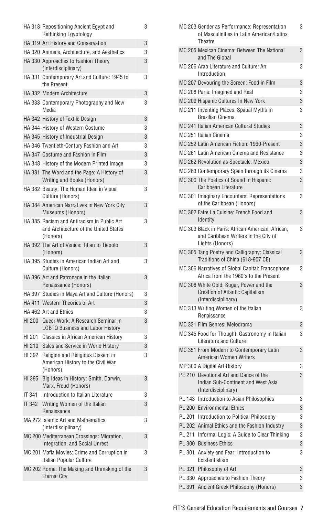|        | HA 318 Repositioning Ancient Egypt and<br>Rethinking Egyptology                                 | 3 |
|--------|-------------------------------------------------------------------------------------------------|---|
|        | HA 319 Art History and Conservation                                                             | 3 |
|        | HA 320 Animals, Architecture, and Aesthetics                                                    | 3 |
|        | HA 330 Approaches to Fashion Theory<br>(Interdisciplinary)                                      | 3 |
|        | HA 331 Contemporary Art and Culture: 1945 to<br>the Present                                     | 3 |
|        | HA 332 Modern Architecture                                                                      | 3 |
|        | HA 333 Contemporary Photography and New<br>Media                                                | 3 |
|        | HA 342 History of Textile Design                                                                | 3 |
|        | HA 344 History of Western Costume                                                               | 3 |
|        | HA 345 History of Industrial Design                                                             | 3 |
|        | HA 346 Twentieth-Century Fashion and Art                                                        | 3 |
|        | HA 347 Costume and Fashion in Film                                                              | 3 |
|        | HA 348 History of the Modern Printed Image                                                      | 3 |
|        | HA 381 The Word and the Page: A History of<br>Writing and Books (Honors)                        | 3 |
|        | HA 382 Beauty: The Human Ideal in Visual<br>Culture (Honors)                                    | 3 |
|        | HA 384 American Narratives in New York City<br>Museums (Honors)                                 | 3 |
|        | HA 385 Racism and Antiracism in Public Art<br>and Architecture of the United States<br>(Honors) | 3 |
|        | HA 392 The Art of Venice: Titian to Tiepolo<br>(Honors)                                         | 3 |
|        | HA 395 Studies in American Indian Art and<br>Culture (Honors)                                   | 3 |
|        | HA 396 Art and Patronage in the Italian<br>Renaissance (Honors)                                 | 3 |
|        | HA 397 Studies in Maya Art and Culture (Honors)                                                 | 3 |
|        | HA 411 Western Theories of Art                                                                  | 3 |
|        | HA 462 Art and Ethics                                                                           | 3 |
|        | HI 200 Queer Work: A Research Seminar in<br><b>LGBTQ Business and Labor History</b>             | 3 |
|        | HI 201 Classics in African American History                                                     | 3 |
| HI 210 | Sales and Service in World History                                                              | 3 |
| HI 392 | Religion and Religious Dissent in<br>American History to the Civil War<br>(Honors)              | 3 |
| HI 395 | Big Ideas in History: Smith, Darwin,<br>Marx, Freud (Honors)                                    | 3 |
| IT 341 | Introduction to Italian Literature                                                              | 3 |
| IT 342 | Writing Women of the Italian<br>Renaissance                                                     | 3 |
|        | MA 272 Islamic Art and Mathematics<br>(Interdisciplinary)                                       | 3 |
|        | MC 200 Mediterranean Crossings: Migration,<br>Integration, and Social Unrest                    | 3 |
|        | MC 201 Mafia Movies: Crime and Corruption in<br>Italian Popular Culture                         | 3 |
|        | MC 202 Rome: The Making and Unmaking of the<br><b>Eternal City</b>                              | 3 |
|        |                                                                                                 |   |

|  | MC 203 Gender as Performance: Representation<br>of Masculinities in Latin American/Latinx<br>Theatre         | 3 |
|--|--------------------------------------------------------------------------------------------------------------|---|
|  | MC 205 Mexican Cinema: Between The National<br>and The Global                                                | 3 |
|  | MC 206 Arab Literature and Culture: An<br>Introduction                                                       | 3 |
|  | MC 207 Devouring the Screen: Food in Film                                                                    | 3 |
|  | MC 208 Paris: Imagined and Real                                                                              | 3 |
|  | MC 209 Hispanic Cultures In New York                                                                         | 3 |
|  | MC 211 Inventing Places: Spatial Myths In<br><b>Brazilian Cinema</b>                                         | 3 |
|  | MC 241 Italian American Cultural Studies                                                                     | 3 |
|  | MC 251 Italian Cinema                                                                                        | 3 |
|  | MC 252 Latin American Fiction: 1960-Present                                                                  | 3 |
|  | MC 261 Latin American Cinema and Resistance                                                                  | 3 |
|  | MC 262 Revolution as Spectacle: Mexico                                                                       | 3 |
|  | MC 263 Contemporary Spain through its Cinema                                                                 | 3 |
|  | MC 300 The Poetics of Sound in Hispanic<br>Caribbean Literature                                              | 3 |
|  | MC 301 Imaginary Encounters: Representations<br>of the Caribbean (Honors)                                    | 3 |
|  | MC 302 Faire La Cuisine: French Food and<br>Identity                                                         | 3 |
|  | MC 303 Black in Paris: African American, African,<br>and Caribbean Writers in the City of<br>Lights (Honors) | 3 |
|  | MC 305 Tang Poetry and Calligraphy: Classical<br>Traditions of China (618-907 CE)                            | 3 |
|  | MC 306 Narratives of Global Capital: Francophone<br>Africa from the 1960's to the Present                    | 3 |
|  | MC 308 White Gold: Sugar, Power and the<br><b>Creation of Atlantic Capitalism</b><br>(Interdisciplinary)     | 3 |
|  | MC 313 Writing Women of the Italian<br>Renaissance                                                           | 3 |
|  | MC 331 Film Genres: Melodrama                                                                                | 3 |
|  | MC 345 Food for Thought: Gastronomy in Italian<br><b>Literature and Culture</b>                              | 3 |
|  | MC 351 From Modern to Contemporary Latin<br>American Women Writers                                           | 3 |
|  | MP 300 A Digital Art History                                                                                 | 3 |
|  | PE 210 Devotional Art and Dance of the<br>Indian Sub-Continent and West Asia<br>(Interdisciplinary)          | 3 |
|  | PL 143 Introduction to Asian Philosophies                                                                    | 3 |
|  | PL 200 Environmental Ethics                                                                                  | 3 |
|  | PL 201 Introduction to Political Philosophy                                                                  | 3 |
|  | PL 202 Animal Ethics and the Fashion Industry                                                                | 3 |
|  | PL 211 Informal Logic: A Guide to Clear Thinking                                                             | 3 |
|  | PL 300 Business Ethics                                                                                       | 3 |
|  | PL 301 Anxiety and Fear: Introduction to<br>Existentialism                                                   | 3 |
|  | PL 321 Philosophy of Art                                                                                     | 3 |
|  | PL 330 Approaches to Fashion Theory                                                                          | 3 |
|  | PL 391 Ancient Greek Philosophy (Honors)                                                                     | 3 |
|  |                                                                                                              |   |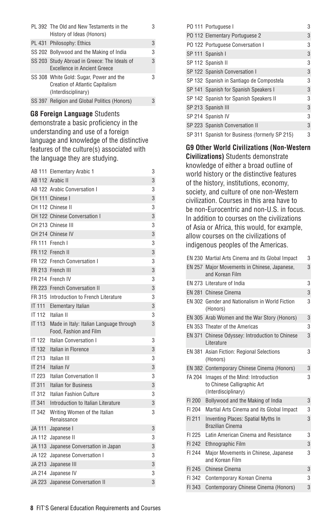| PL 392 The Old and New Testaments in the<br>History of Ideas (Honors)                                    |   |
|----------------------------------------------------------------------------------------------------------|---|
| PL 431 Philosophy: Ethics                                                                                | 3 |
| SS 202 Bollywood and the Making of India                                                                 | 3 |
| SS 203 Study Abroad in Greece: The Ideals of<br>Excellence in Ancient Greece                             | 3 |
| SS 308 White Gold: Sugar, Power and the<br><b>Creation of Atlantic Capitalism</b><br>(Interdisciplinary) | 3 |
| SS 397 Religion and Global Politics (Honors)                                                             | 3 |

#### **G8 Foreign Language** Students

demonstrate a basic proficiency in the understanding and use of a foreign language and knowledge of the distinctive features of the culture(s) associated with the language they are studying.

|               | AB 111 Elementary Arabic 1                                        | 3 |
|---------------|-------------------------------------------------------------------|---|
|               | AB 112 Arabic II                                                  | 3 |
|               | AB 122 Arabic Conversation I                                      | 3 |
|               | CH 111 Chinese I                                                  | 3 |
|               | CH 112 Chinese II                                                 | 3 |
|               | CH 122 Chinese Conversation I                                     | 3 |
|               | CH 213 Chinese III                                                | 3 |
|               | CH 214 Chinese IV                                                 | 3 |
|               | FR 111 French I                                                   | 3 |
|               | FR 112 French II                                                  | 3 |
|               | FR 122 French Conversation I                                      | 3 |
|               | FR 213 French III                                                 | 3 |
|               | FR 214 French IV                                                  | 3 |
| FR 223        | <b>French Conversation II</b>                                     | 3 |
| FR 315        | Introduction to French Literature                                 | 3 |
| <b>IT 111</b> | <b>Elementary Italian</b>                                         | 3 |
| IT 112        | Italian II                                                        | 3 |
| IT 113        | Made in Italy: Italian Language through<br>Food, Fashion and Film | 3 |
| <b>IT 122</b> | Italian Conversation I                                            | 3 |
| <b>IT 132</b> | Italian in Florence                                               | 3 |
| IT 213        | Italian III                                                       | 3 |
| <b>IT 214</b> | Italian IV                                                        | 3 |
| IT 223        | <b>Italian Conversation II</b>                                    | 3 |
| IT 311        | <b>Italian for Business</b>                                       | 3 |
| IT 312        | Italian Eashion Culture                                           | 3 |
| <b>IT 341</b> | Introduction to Italian Literature                                | 3 |
| <b>IT 342</b> | Writing Women of the Italian<br>Renaissance                       | 3 |
| JA 111        | Japanese I                                                        | 3 |
| JA 112        | Japanese II                                                       | 3 |
| JA 113        | Japanese Conversation in Japan                                    | 3 |
| JA 122        | Japanese Conversation I                                           | 3 |
| JA 213        | Japanese III                                                      | 3 |
| JA 214        | Japanese IV                                                       | 3 |
| <b>JA 223</b> | Japanese Conversation II                                          | 3 |
|               |                                                                   |   |

|  | PO 111 Portuguese I                           | 3 |
|--|-----------------------------------------------|---|
|  | PO 112 Elementary Portuguese 2                | 3 |
|  | PO 122 Portuguese Conversation I              | 3 |
|  | SP 111 Spanish I                              | 3 |
|  | SP 112 Spanish II                             | 3 |
|  | SP 122 Spanish Conversation I                 | 3 |
|  | SP 132 Spanish in Santiago de Compostela      | 3 |
|  | SP 141 Spanish for Spanish Speakers I         | 3 |
|  | SP 142 Spanish for Spanish Speakers II        | 3 |
|  | SP 213 Spanish III                            | 3 |
|  | SP 214 Spanish IV                             | 3 |
|  | SP 223 Spanish Conversation II                | 3 |
|  | SP 311 Spanish for Business (formerly SP 215) | 3 |

**G9 Other World Civilizations (Non-Western Civilizations)** Students demonstrate knowledge of either a broad outline of world history or the distinctive features of the history, institutions, economy, society, and culture of one non-Western civilization. Courses in this area have to be non-Eurocentric and non-U.S. in focus. In addition to courses on the civilizations of Asia or Africa, this would, for example, allow courses on the civilizations of indigenous peoples of the Americas.

|        | EN 230 Martial Arts Cinema and its Global Impact                                       | 3 |
|--------|----------------------------------------------------------------------------------------|---|
|        | EN 257 Major Movements in Chinese, Japanese,<br>and Korean Film                        | 3 |
|        | EN 273 Literature of India                                                             | 3 |
|        | EN 281 Chinese Cinema                                                                  | 3 |
|        | EN 302 Gender and Nationalism in World Fiction<br>(Honors)                             | 3 |
|        | EN 305 Arab Women and the War Story (Honors)                                           | 3 |
|        | EN 353 Theater of the Americas                                                         | 3 |
| EN 371 | Chinese Odyssey: Introduction to Chinese<br>Literature                                 | 3 |
|        | EN 381 Asian Fiction: Regional Selections<br>(Honors)                                  | 3 |
|        | EN 382 Contemporary Chinese Cinema (Honors)                                            | 3 |
| FA 204 | Images of the Mind: Introduction<br>to Chinese Calligraphic Art<br>(Interdisciplinary) | 3 |
| FI 200 | Bollywood and the Making of India                                                      | 3 |
| FI 204 | Martial Arts Cinema and its Global Impact                                              | 3 |
| FI 211 | <b>Inventing Places: Spatial Myths In</b><br><b>Brazilian Cinema</b>                   | 3 |
| FI 225 | Latin American Cinema and Resistance                                                   | 3 |
| FI 242 | Ethnographic Film                                                                      | 3 |
| FI 244 | Major Movements in Chinese, Japanese<br>and Korean Film                                | 3 |
| FI 245 | Chinese Cinema                                                                         | 3 |
| FI 342 | Contemporary Korean Cinema                                                             | 3 |
| FI 343 | Contemporary Chinese Cinema (Honors)                                                   | 3 |
|        |                                                                                        |   |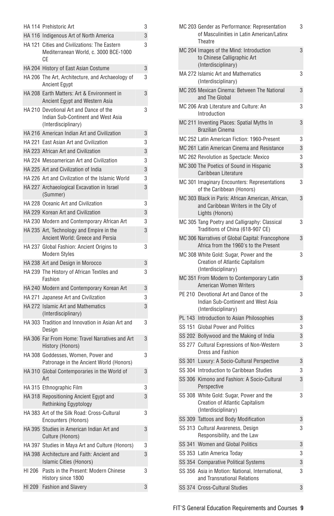|        | HA 114 Prehistoric Art                                                                              | 3 |
|--------|-----------------------------------------------------------------------------------------------------|---|
|        | HA 116 Indigenous Art of North America                                                              | 3 |
|        | HA 121 Cities and Civilizations: The Eastern<br>Mediterranean World, c. 3000 BCE-1000<br>CЕ         | 3 |
|        | HA 204 History of East Asian Costume                                                                | 3 |
|        | HA 206 The Art, Architecture, and Archaeology of<br><b>Ancient Egypt</b>                            | 3 |
|        | HA 208 Earth Matters: Art & Environment in<br>Ancient Egypt and Western Asia                        | 3 |
|        | HA 210 Devotional Art and Dance of the<br>Indian Sub-Continent and West Asia<br>(Interdisciplinary) | 3 |
|        | HA 216 American Indian Art and Civilization                                                         | 3 |
|        | HA 221 East Asian Art and Civilization                                                              | 3 |
|        | HA 223 African Art and Civilization                                                                 | 3 |
|        | HA 224 Mesoamerican Art and Civilization                                                            | 3 |
|        | HA 225 Art and Civilization of India                                                                | 3 |
|        | HA 226 Art and Civilization of the Islamic World                                                    | 3 |
|        | HA 227 Archaeological Excavation in Israel<br>(Summer)                                              | 3 |
|        | HA 228 Oceanic Art and Civilization                                                                 | 3 |
|        | HA 229 Korean Art and Civilization                                                                  | 3 |
|        | HA 230 Modern and Contemporary African Art                                                          | 3 |
|        | HA 235 Art, Technology and Empire in the<br>Ancient World: Greece and Persia                        | 3 |
|        | HA 237 Global Fashion: Ancient Origins to<br><b>Modern Styles</b>                                   | 3 |
|        | HA 238 Art and Design in Morocco                                                                    | 3 |
|        | HA 239 The History of African Textiles and<br>Fashion                                               | 3 |
|        | HA 240 Modern and Contemporary Korean Art                                                           | 3 |
|        | HA 271 Japanese Art and Civilization                                                                | 3 |
|        | HA 272 Islamic Art and Mathematics<br>(Interdisciplinary)                                           | 3 |
|        | HA 303 Tradition and Innovation in Asian Art and<br>Design                                          | 3 |
|        | HA 306 Far From Home: Travel Narratives and Art<br>History (Honors)                                 | 3 |
|        | HA 308 Goddesses, Women, Power and<br>Patronage in the Ancient World (Honors)                       | 3 |
|        | HA 310 Global Contemporaries in the World of<br>Art                                                 | 3 |
|        | HA 315 Ethnographic Film                                                                            | 3 |
|        | HA 318 Repositioning Ancient Egypt and<br>Rethinking Egyptology                                     | 3 |
|        | HA 383 Art of the Silk Road: Cross-Cultural<br>Encounters (Honors)                                  | 3 |
|        | HA 395 Studies in American Indian Art and<br>Culture (Honors)                                       | 3 |
|        | HA 397 Studies in Maya Art and Culture (Honors)                                                     | 3 |
|        | HA 398 Architecture and Faith: Ancient and<br>Islamic Cities (Honors)                               | 3 |
| HI 206 | Pasts in the Present: Modern Chinese<br>History since 1800                                          | 3 |
|        | HI 209 Fashion and Slavery                                                                          | 3 |

|  | MC 203 Gender as Performance: Representation<br>of Masculinities in Latin American/Latinx<br>Theatre         | 3 |
|--|--------------------------------------------------------------------------------------------------------------|---|
|  | MC 204 Images of the Mind: Introduction<br>to Chinese Calligraphic Art<br>(Interdisciplinary)                | 3 |
|  | MA 272 Islamic Art and Mathematics<br>(Interdisciplinary)                                                    | 3 |
|  | MC 205 Mexican Cinema: Between The National<br>and The Global                                                | 3 |
|  | MC 206 Arab Literature and Culture: An<br>Introduction                                                       | 3 |
|  | MC 211 Inventing Places: Spatial Myths In<br><b>Brazilian Cinema</b>                                         | 3 |
|  | MC 252 Latin American Fiction: 1960-Present                                                                  | 3 |
|  | MC 261 Latin American Cinema and Resistance                                                                  | 3 |
|  | MC 262 Revolution as Spectacle: Mexico                                                                       | 3 |
|  | MC 300 The Poetics of Sound in Hispanic<br>Caribbean Literature                                              | 3 |
|  | MC 301 Imaginary Encounters: Representations<br>of the Caribbean (Honors)                                    | 3 |
|  | MC 303 Black in Paris: African American, African,<br>and Caribbean Writers in the City of<br>Lights (Honors) | 3 |
|  | MC 305 Tang Poetry and Calligraphy: Classical<br>Traditions of China (618-907 CE)                            | 3 |
|  | MC 306 Narratives of Global Capital: Francophone<br>Africa from the 1960's to the Present                    | 3 |
|  | MC 308 White Gold: Sugar, Power and the<br><b>Creation of Atlantic Capitalism</b><br>(Interdisciplinary)     | 3 |
|  | MC 351 From Modern to Contemporary Latin<br>American Women Writers                                           | 3 |
|  | PE 210 Devotional Art and Dance of the<br>Indian Sub-Continent and West Asia<br>(Interdisciplinary)          | 3 |
|  | PL 143 Introduction to Asian Philosophies                                                                    | 3 |
|  | SS 151 Global Power and Politics                                                                             | 3 |
|  | SS 202 Bollywood and the Making of India                                                                     | 3 |
|  | SS 277 Cultural Expressions of Non-Western<br>Dress and Fashion                                              | 3 |
|  | SS 301 Luxury: A Socio-Cultural Perspective                                                                  | 3 |
|  | SS 304 Introduction to Caribbean Studies                                                                     | 3 |
|  | SS 306 Kimono and Fashion: A Socio-Cultural<br>Perspective                                                   | 3 |
|  | SS 308 White Gold: Sugar, Power and the<br><b>Creation of Atlantic Capitalism</b><br>(Interdisciplinary)     | 3 |
|  | SS 309 Tattoos and Body Modification                                                                         | 3 |
|  | SS 313 Cultural Awareness, Design<br>Responsibility, and the Law                                             | 3 |
|  | SS 341 Women and Global Politics                                                                             | 3 |
|  | SS 353 Latin America Today                                                                                   | 3 |
|  | SS 354 Comparative Political Systems                                                                         | 3 |
|  | SS 356 Asia in Motion: National, International,<br>and Transnational Relations                               | 3 |
|  | SS 374 Cross-Cultural Studies                                                                                | 3 |
|  |                                                                                                              |   |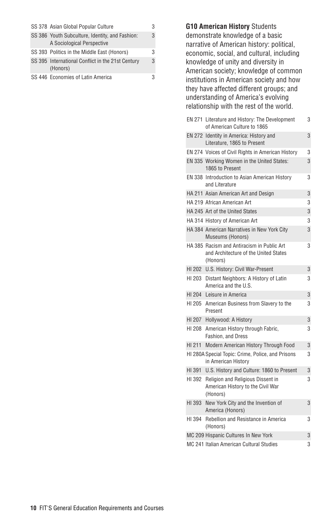|  | SS 378 Asian Global Popular Culture                                           | 3 |
|--|-------------------------------------------------------------------------------|---|
|  | SS 386 Youth Subculture, Identity, and Fashion:<br>A Sociological Perspective | 3 |
|  | SS 393 Politics in the Middle East (Honors)                                   | 3 |
|  | SS 395 International Conflict in the 21st Century<br>(Honors)                 | 3 |
|  | SS 446 Economies of Latin America                                             | 3 |

**G10 American History** Students demonstrate knowledge of a basic narrative of American history: political, economic, social, and cultural, including knowledge of unity and diversity in American society; knowledge of common institutions in American society and how they have affected different groups; and understanding of America's evolving relationship with the rest of the world.

|        | EN 271 Literature and History: The Development<br>of American Culture to 1865                   | 3 |
|--------|-------------------------------------------------------------------------------------------------|---|
|        | EN 272 Identity in America: History and<br>Literature, 1865 to Present                          | 3 |
|        | EN 274 Voices of Civil Rights in American History                                               | 3 |
|        | EN 335 Working Women in the United States:<br>1865 to Present                                   | 3 |
|        | EN 338 Introduction to Asian American History<br>and Literature                                 | 3 |
|        | HA 211 Asian American Art and Design                                                            | 3 |
|        | HA 219 African American Art                                                                     | 3 |
|        | HA 245 Art of the United States                                                                 | 3 |
|        | HA 314 History of American Art                                                                  | 3 |
|        | HA 384 American Narratives in New York City<br>Museums (Honors)                                 | 3 |
|        | HA 385 Racism and Antiracism in Public Art<br>and Architecture of the United States<br>(Honors) | 3 |
|        | HI 202 U.S. History: Civil War-Present                                                          | 3 |
| HI 203 | Distant Neighbors: A History of Latin<br>America and the U.S.                                   | 3 |
| HI 204 | Leisure in America                                                                              | 3 |
| HI 205 | American Business from Slavery to the<br>Present                                                | 3 |
|        | HI 207 Hollywood: A History                                                                     | 3 |
| HI 208 | American History through Fabric,<br>Fashion, and Dress                                          | 3 |
| HI 211 | Modern American History Through Food                                                            | 3 |
|        | HI 280A Special Topic: Crime, Police, and Prisons<br>in American Historv                        | 3 |
| HI 391 | U.S. History and Culture: 1860 to Present                                                       | 3 |
| HI 392 | Religion and Religious Dissent in<br>American History to the Civil War<br>(Honors)              | 3 |
| HI 393 | New York City and the Invention of<br>America (Honors)                                          | 3 |
| HI 394 | Rebellion and Resistance in America<br>(Honors)                                                 | 3 |
|        | MC 209 Hispanic Cultures In New York                                                            | 3 |
|        | MC 241 Italian American Cultural Studies                                                        | 3 |
|        |                                                                                                 |   |